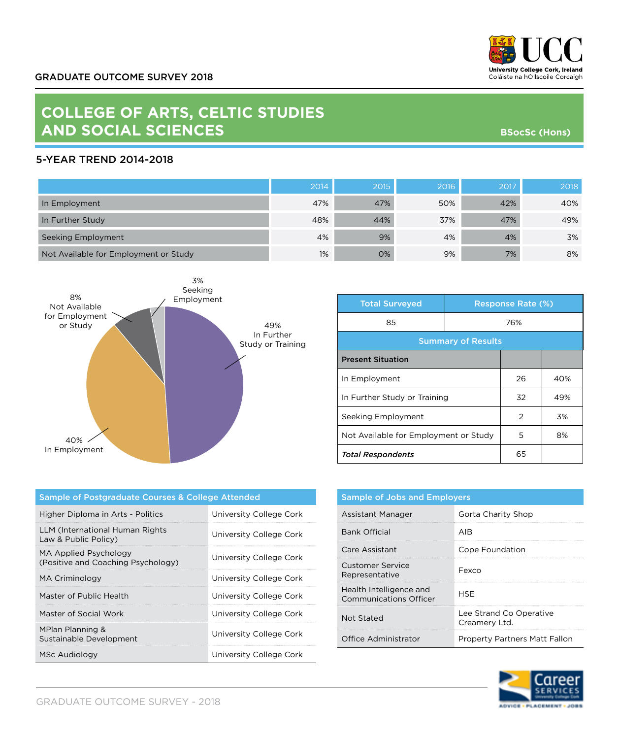

**BSocSc (Hons)**

## **COLLEGE OF ARTS, CELTIC STUDIES AND SOCIAL SCIENCES**

## 5-YEAR TREND 2014-2018

|                                       | 2014 | 2015 | 2016 | 2017 | 2018 |
|---------------------------------------|------|------|------|------|------|
| In Employment                         | 47%  | 47%  | 50%  | 42%  | 40%  |
| In Further Study                      | 48%  | 44%  | 37%  | 47%  | 49%  |
| Seeking Employment                    | 4%   | 9%   | 4%   | 4%   | 3%   |
| Not Available for Employment or Study | 1%   | 0%   | 9%   | 7%   | 8%   |



| <b>Total Surveyed</b>                 |     | <b>Response Rate (%)</b> |     |
|---------------------------------------|-----|--------------------------|-----|
| 85                                    | 76% |                          |     |
| <b>Summary of Results</b>             |     |                          |     |
| <b>Present Situation</b>              |     |                          |     |
| In Employment                         |     | 26                       | 40% |
| In Further Study or Training          |     | 32                       | 49% |
| Seeking Employment                    |     | $\overline{2}$           | 3%  |
| Not Available for Employment or Study |     | 5                        | 8%  |
| <b>Total Respondents</b>              |     | 65                       |     |

| Sample of Postgraduate Courses & College Attended           |                         |  |
|-------------------------------------------------------------|-------------------------|--|
| Higher Diploma in Arts - Politics                           | University College Cork |  |
| LLM (International Human Rights<br>Law & Public Policy)     | University College Cork |  |
| MA Applied Psychology<br>(Positive and Coaching Psychology) | University College Cork |  |
| MA Criminology                                              | University College Cork |  |
| Master of Public Health                                     | University College Cork |  |
| Master of Social Work                                       | University College Cork |  |
| MPlan Planning &<br>Sustainable Development                 | University College Cork |  |
| MSc Audiology                                               | University College Cork |  |

| <b>Sample of Jobs and Employers</b>                      |                                          |  |
|----------------------------------------------------------|------------------------------------------|--|
| Assistant Manager                                        | Gorta Charity Shop                       |  |
| <b>Bank Official</b>                                     | AIR                                      |  |
| Care Assistant                                           | Cope Foundation                          |  |
| Customer Service<br>Representative                       | Fexco                                    |  |
| Health Intelligence and<br><b>Communications Officer</b> | HSF                                      |  |
| Not Stated                                               | Lee Strand Co Operative<br>Creamery Ltd. |  |
| Office Administrator                                     | <b>Property Partners Matt Fallon</b>     |  |